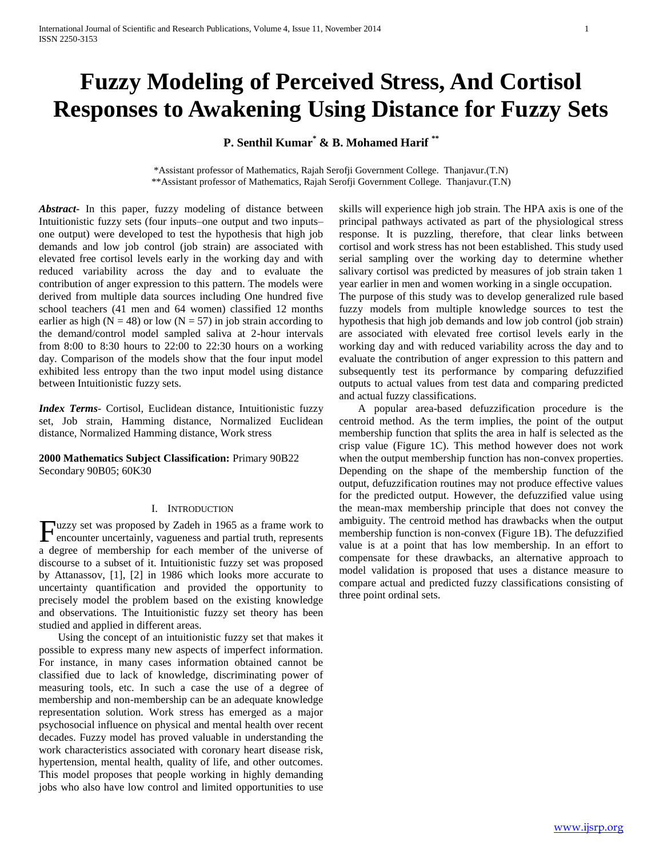# **Fuzzy Modeling of Perceived Stress, And Cortisol Responses to Awakening Using Distance for Fuzzy Sets**

**P. Senthil Kumar\* & B. Mohamed Harif \*\***

\*Assistant professor of Mathematics, Rajah Serofji Government College. Thanjavur.(T.N) \*\*Assistant professor of Mathematics, Rajah Serofji Government College. Thanjavur.(T.N)

*Abstract***-** In this paper, fuzzy modeling of distance between Intuitionistic fuzzy sets (four inputs–one output and two inputs– one output) were developed to test the hypothesis that high job demands and low job control (job strain) are associated with elevated free cortisol levels early in the working day and with reduced variability across the day and to evaluate the contribution of anger expression to this pattern. The models were derived from multiple data sources including One hundred five school teachers (41 men and 64 women) classified 12 months earlier as high ( $N = 48$ ) or low ( $N = 57$ ) in job strain according to the demand/control model sampled saliva at 2-hour intervals from 8:00 to 8:30 hours to 22:00 to 22:30 hours on a working day. Comparison of the models show that the four input model exhibited less entropy than the two input model using distance between Intuitionistic fuzzy sets.

*Index Terms*- Cortisol, Euclidean distance, Intuitionistic fuzzy set, Job strain, Hamming distance, Normalized Euclidean distance, Normalized Hamming distance, Work stress

**2000 Mathematics Subject Classification:** Primary 90B22 Secondary 90B05; 60K30

### I. INTRODUCTION

Fuzzy set was proposed by Zadeh in 1965 as a frame work to encounter uncertainly, vagueness and partial truth, represents encounter uncertainly, vagueness and partial truth, represents a degree of membership for each member of the universe of discourse to a subset of it. Intuitionistic fuzzy set was proposed by Attanassov, [1], [2] in 1986 which looks more accurate to uncertainty quantification and provided the opportunity to precisely model the problem based on the existing knowledge and observations. The Intuitionistic fuzzy set theory has been studied and applied in different areas.

 Using the concept of an intuitionistic fuzzy set that makes it possible to express many new aspects of imperfect information. For instance, in many cases information obtained cannot be classified due to lack of knowledge, discriminating power of measuring tools, etc. In such a case the use of a degree of membership and non-membership can be an adequate knowledge representation solution. Work stress has emerged as a major psychosocial influence on physical and mental health over recent decades. Fuzzy model has proved valuable in understanding the work characteristics associated with coronary heart disease risk, hypertension, mental health, quality of life, and other outcomes. This model proposes that people working in highly demanding jobs who also have low control and limited opportunities to use skills will experience high job strain. The HPA axis is one of the principal pathways activated as part of the physiological stress response. It is puzzling, therefore, that clear links between cortisol and work stress has not been established. This study used serial sampling over the working day to determine whether salivary cortisol was predicted by measures of job strain taken 1 year earlier in men and women working in a single occupation.

The purpose of this study was to develop generalized rule based fuzzy models from multiple knowledge sources to test the hypothesis that high job demands and low job control (job strain) are associated with elevated free cortisol levels early in the working day and with reduced variability across the day and to evaluate the contribution of anger expression to this pattern and subsequently test its performance by comparing defuzzified outputs to actual values from test data and comparing predicted and actual fuzzy classifications.

 A popular area-based defuzzification procedure is the centroid method. As the term implies, the point of the output membership function that splits the area in half is selected as the crisp value (Figure 1C). This method however does not work when the output membership function has non-convex properties. Depending on the shape of the membership function of the output, defuzzification routines may not produce effective values for the predicted output. However, the defuzzified value using the mean-max membership principle that does not convey the ambiguity. The centroid method has drawbacks when the output membership function is non-convex (Figure 1B). The defuzzified value is at a point that has low membership. In an effort to compensate for these drawbacks, an alternative approach to model validation is proposed that uses a distance measure to compare actual and predicted fuzzy classifications consisting of three point ordinal sets.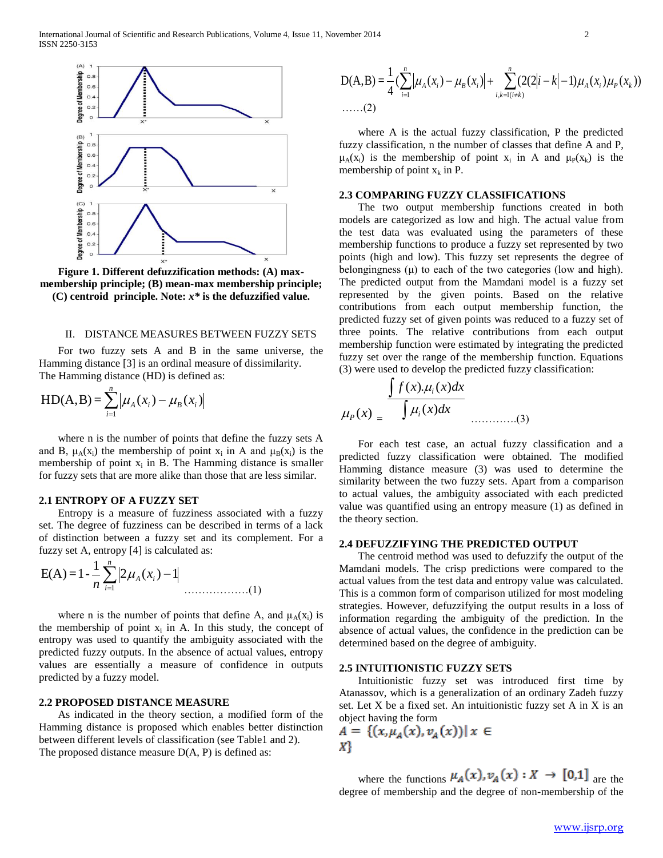

**Figure 1. Different defuzzification methods: (A) maxmembership principle; (B) mean-max membership principle; (C) centroid principle. Note:** *x\** **is the defuzzified value.**

#### II. DISTANCE MEASURES BETWEEN FUZZY SETS

 For two fuzzy sets A and B in the same universe, the Hamming distance [3] is an ordinal measure of dissimilarity. The Hamming distance (HD) is defined as:

$$
HD(A, B) = \sum_{i=1}^{n} \left| \mu_A(x_i) - \mu_B(x_i) \right|
$$

 where n is the number of points that define the fuzzy sets A and B,  $\mu_A(x_i)$  the membership of point  $x_i$  in A and  $\mu_B(x_i)$  is the membership of point  $x_i$  in B. The Hamming distance is smaller for fuzzy sets that are more alike than those that are less similar.

# **2.1 ENTROPY OF A FUZZY SET**

 Entropy is a measure of fuzziness associated with a fuzzy set. The degree of fuzziness can be described in terms of a lack of distinction between a fuzzy set and its complement. For a fuzzy set A, entropy [4] is calculated as:

$$
E(A) = 1 - \frac{1}{n} \sum_{i=1}^{n} |2\mu_A(x_i) - 1|
$$
............(1)

where n is the number of points that define A, and  $\mu_A(x_i)$  is the membership of point  $x_i$  in A. In this study, the concept of entropy was used to quantify the ambiguity associated with the predicted fuzzy outputs. In the absence of actual values, entropy values are essentially a measure of confidence in outputs predicted by a fuzzy model.

## **2.2 PROPOSED DISTANCE MEASURE**

 As indicated in the theory section, a modified form of the Hamming distance is proposed which enables better distinction between different levels of classification (see Table1 and 2). The proposed distance measure  $D(A, P)$  is defined as:

$$
D(A,B) = \frac{1}{4} \left( \sum_{i=1}^{n} \left| \mu_A(x_i) - \mu_B(x_i) \right| + \sum_{i,k=1(i \neq k)}^{n} (2(2|i-k|-1)\mu_A(x_i)\mu_P(x_k)) \right)
$$
  
......(2)

 where A is the actual fuzzy classification, P the predicted fuzzy classification, n the number of classes that define A and P,  $\mu_A(x_i)$  is the membership of point  $x_i$  in A and  $\mu_P(x_k)$  is the membership of point  $x_k$  in P.

## **2.3 COMPARING FUZZY CLASSIFICATIONS**

 The two output membership functions created in both models are categorized as low and high. The actual value from the test data was evaluated using the parameters of these membership functions to produce a fuzzy set represented by two points (high and low). This fuzzy set represents the degree of belongingness  $(\mu)$  to each of the two categories (low and high). The predicted output from the Mamdani model is a fuzzy set represented by the given points. Based on the relative contributions from each output membership function, the predicted fuzzy set of given points was reduced to a fuzzy set of three points. The relative contributions from each output membership function were estimated by integrating the predicted fuzzy set over the range of the membership function. Equations (3) were used to develop the predicted fuzzy classification:

$$
\mu_{P}(x) = \frac{\int f(x) \mu_{i}(x) dx}{\int \mu_{i}(x) dx}
$$
\n(3)

 For each test case, an actual fuzzy classification and a predicted fuzzy classification were obtained. The modified Hamming distance measure (3) was used to determine the similarity between the two fuzzy sets. Apart from a comparison to actual values, the ambiguity associated with each predicted value was quantified using an entropy measure (1) as defined in the theory section.

#### **2.4 DEFUZZIFYING THE PREDICTED OUTPUT**

 The centroid method was used to defuzzify the output of the Mamdani models. The crisp predictions were compared to the actual values from the test data and entropy value was calculated. This is a common form of comparison utilized for most modeling strategies. However, defuzzifying the output results in a loss of information regarding the ambiguity of the prediction. In the absence of actual values, the confidence in the prediction can be determined based on the degree of ambiguity.

#### **2.5 INTUITIONISTIC FUZZY SETS**

 Intuitionistic fuzzy set was introduced first time by Atanassov, which is a generalization of an ordinary Zadeh fuzzy set. Let X be a fixed set. An intuitionistic fuzzy set A in X is an object having the form

$$
A = \{ (x, \mu_A(x), v_A(x)) | x \in X \}
$$

where the functions  $\mu_A(x), \nu_A(x) : X \to [0,1]$  are the degree of membership and the degree of non-membership of the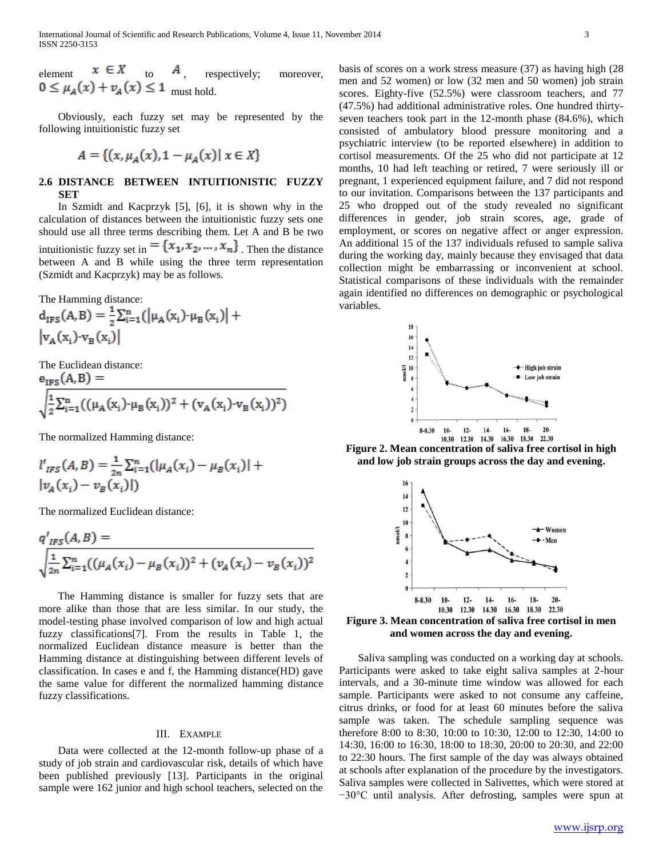element  $x \in A$  to  $A$ , respectively; moreover, must hold.

 Obviously, each fuzzy set may be represented by the following intuitionistic fuzzy set

$$
A = \{(x, \mu_A(x), 1 - \mu_A(x)) | x \in X\}
$$

# **2.6 DISTANCE BETWEEN INTUITIONISTIC FUZZY SET**

 In Szmidt and Kacprzyk [5], [6], it is shown why in the calculation of distances between the intuitionistic fuzzy sets one should use all three terms describing them. Let A and B be two intuitionistic fuzzy set in  $= \{x_1, x_2, ..., x_n\}$ . Then the distance between A and B while using the three term representation (Szmidt and Kacprzyk) may be as follows.

The Hamming distance:

$$
d_{IPS}(A, B) = \frac{1}{2} \sum_{i=1}^{n} (|\mu_A(x_i) - \mu_B(x_i)| + |\nu_A(x_i) - \nu_B(x_i)|)
$$

The Euclidean distance:  $(A \cap R) =$  $\sim$ 

$$
\sqrt{\frac{1}{2}\sum_{i=1}^{n}((\mu_{A}(x_{i})\cdot\mu_{B}(x_{i}))^{2} + (v_{A}(x_{i})\cdot v_{B}(x_{i}))^{2})}
$$

The normalized Hamming distance:

$$
l'_{IFS}(A, B) = \frac{1}{2n} \sum_{i=1}^{n} (|\mu_A(x_i) - \mu_B(x_i)| + |\nu_A(x_i) - \nu_B(x_i)|)
$$

The normalized Euclidean distance:

$$
q'_{IFS}(A, B) =
$$
  

$$
\sqrt{\frac{1}{2n} \sum_{i=1}^{n} ((\mu_A(x_i) - \mu_B(x_i))^2 + (\nu_A(x_i) - \nu_B(x_i))^2}
$$

 The Hamming distance is smaller for fuzzy sets that are more alike than those that are less similar. In our study, the model-testing phase involved comparison of low and high actual fuzzy classifications[7]. From the results in Table 1, the normalized Euclidean distance measure is better than the Hamming distance at distinguishing between different levels of classification. In cases e and f, the Hamming distance(HD) gave the same value for different the normalized hamming distance fuzzy classifications.

#### III. EXAMPLE

 Data were collected at the 12-month follow-up phase of a study of job strain and cardiovascular risk, details of which have been published previously [13]. Participants in the original sample were 162 junior and high school teachers, selected on the

basis of scores on a work stress measure (37) as having high (28 men and 52 women) or low (32 men and 50 women) job strain scores. Eighty-five (52.5%) were classroom teachers, and 77 (47.5%) had additional administrative roles. One hundred thirtyseven teachers took part in the 12-month phase (84.6%), which consisted of ambulatory blood pressure monitoring and a psychiatric interview (to be reported elsewhere) in addition to cortisol measurements. Of the 25 who did not participate at 12 months, 10 had left teaching or retired, 7 were seriously ill or pregnant, 1 experienced equipment failure, and 7 did not respond to our invitation. Comparisons between the 137 participants and 25 who dropped out of the study revealed no significant differences in gender, job strain scores, age, grade of employment, or scores on negative affect or anger expression. An additional 15 of the 137 individuals refused to sample saliva during the working day, mainly because they envisaged that data collection might be embarrassing or inconvenient at school. Statistical comparisons of these individuals with the remainder again identified no differences on demographic or psychological variables.



**Figure 2. Mean concentration of saliva free cortisol in high and low job strain groups across the day and evening.**



**Figure 3. Mean concentration of saliva free cortisol in men and women across the day and evening.**

 Saliva sampling was conducted on a working day at schools. Participants were asked to take eight saliva samples at 2-hour intervals, and a 30-minute time window was allowed for each sample. Participants were asked to not consume any caffeine, citrus drinks, or food for at least 60 minutes before the saliva sample was taken. The schedule sampling sequence was therefore 8:00 to 8:30, 10:00 to 10:30, 12:00 to 12:30, 14:00 to 14:30, 16:00 to 16:30, 18:00 to 18:30, 20:00 to 20:30, and 22:00 to 22:30 hours. The first sample of the day was always obtained at schools after explanation of the procedure by the investigators. Saliva samples were collected in Salivettes, which were stored at −30°C until analysis. After defrosting, samples were spun at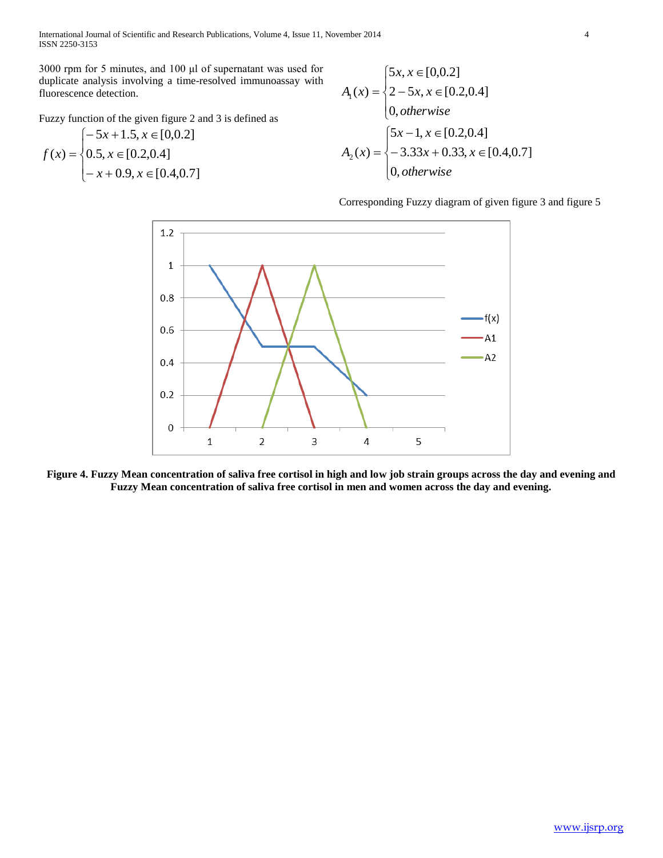International Journal of Scientific and Research Publications, Volume 4, Issue 11, November 2014 4 ISSN 2250-3153

3000 rpm for 5 minutes, and 100 μl of supernatant was used for duplicate analysis involving a time-resolved immunoassay with fluorescence detection.

Fuzzy function of the given figure 2 and 3 is defined as

$$
f(x) = \begin{cases} -5x + 1.5, x \in [0, 0.2] \\ 0.5, x \in [0.2, 0.4] \\ -x + 0.9, x \in [0.4, 0.7] \end{cases}
$$

$$
A_1(x) = \begin{cases} 5x, x \in [0, 0.2] \\ 2 - 5x, x \in [0.2, 0.4] \\ 0, otherwise \end{cases}
$$
  

$$
A_2(x) = \begin{cases} 5x - 1, x \in [0.2, 0.4] \\ -3.33x + 0.33, x \in [0.4, 0.7] \\ 0, otherwise \end{cases}
$$

Corresponding Fuzzy diagram of given figure 3 and figure 5



**Figure 4. Fuzzy Mean concentration of saliva free cortisol in high and low job strain groups across the day and evening and Fuzzy Mean concentration of saliva free cortisol in men and women across the day and evening.**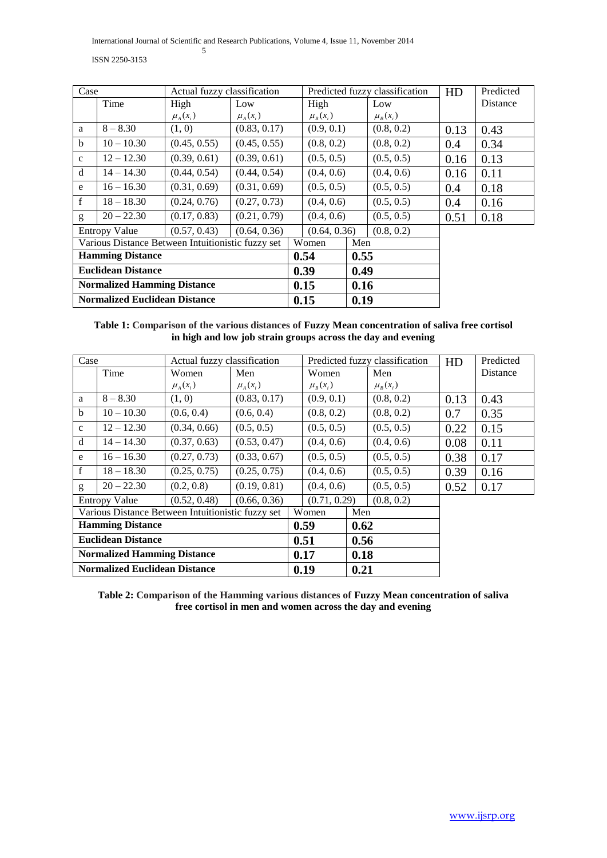International Journal of Scientific and Research Publications, Volume 4, Issue 11, November 2014 5

ISSN 2250-3153

| Case                                              |              | Actual fuzzy classification |              |      |              |      | Predicted fuzzy classification | HD   | Predicted |
|---------------------------------------------------|--------------|-----------------------------|--------------|------|--------------|------|--------------------------------|------|-----------|
|                                                   | Time         | High                        | Low          |      | High         |      | Low                            |      | Distance  |
|                                                   |              | $\mu_A(x_i)$                | $\mu_A(x_i)$ |      | $\mu_B(x_i)$ |      | $\mu_B(x_i)$                   |      |           |
| a                                                 | $8 - 8.30$   | (1, 0)                      | (0.83, 0.17) |      | (0.9, 0.1)   |      | (0.8, 0.2)                     | 0.13 | 0.43      |
| $\mathbf b$                                       | $10 - 10.30$ | (0.45, 0.55)                | (0.45, 0.55) |      | (0.8, 0.2)   |      | (0.8, 0.2)                     | 0.4  | 0.34      |
| $\mathbf{C}$                                      | $12 - 12.30$ | (0.39, 0.61)                | (0.39, 0.61) |      | (0.5, 0.5)   |      | (0.5, 0.5)                     | 0.16 | 0.13      |
| d                                                 | $14 - 14.30$ | (0.44, 0.54)                | (0.44, 0.54) |      | (0.4, 0.6)   |      | (0.4, 0.6)                     | 0.16 | 0.11      |
| e                                                 | $16 - 16.30$ | (0.31, 0.69)                | (0.31, 0.69) |      | (0.5, 0.5)   |      | (0.5, 0.5)                     | 0.4  | 0.18      |
| f                                                 | $18 - 18.30$ | (0.24, 0.76)                | (0.27, 0.73) |      | (0.4, 0.6)   |      | (0.5, 0.5)                     | 0.4  | 0.16      |
| g                                                 | $20 - 22.30$ | (0.17, 0.83)                | (0.21, 0.79) |      | (0.4, 0.6)   |      | (0.5, 0.5)                     | 0.51 | 0.18      |
| (0.57, 0.43)<br><b>Entropy Value</b>              |              |                             | (0.64, 0.36) |      | (0.64, 0.36) |      | (0.8, 0.2)                     |      |           |
| Various Distance Between Intuitionistic fuzzy set |              |                             |              |      | Women        |      | Men                            |      |           |
| <b>Hamming Distance</b>                           |              |                             |              | 0.54 |              | 0.55 |                                |      |           |
| <b>Euclidean Distance</b>                         |              |                             |              | 0.39 |              | 0.49 |                                |      |           |
| <b>Normalized Hamming Distance</b>                |              |                             |              | 0.15 |              | 0.16 |                                |      |           |
| <b>Normalized Euclidean Distance</b>              |              |                             |              |      | 0.15<br>0.19 |      |                                |      |           |

# **Table 1: Comparison of the various distances of Fuzzy Mean concentration of saliva free cortisol in high and low job strain groups across the day and evening**

| Case                                                 |              | Actual fuzzy classification |              |              |                |            | Predicted fuzzy classification | HD   | Predicted |
|------------------------------------------------------|--------------|-----------------------------|--------------|--------------|----------------|------------|--------------------------------|------|-----------|
|                                                      | Time         | Women                       | Men          |              | Women          |            | Men                            |      | Distance  |
|                                                      |              | $\mu_A(x_i)$                | $\mu_A(x_i)$ |              | $\mu_{B}(x_i)$ |            | $\mu_B(x_i)$                   |      |           |
| a                                                    | $8 - 8.30$   | (1, 0)                      | (0.83, 0.17) |              | (0.9, 0.1)     |            | (0.8, 0.2)                     | 0.13 | 0.43      |
| <sub>b</sub>                                         | $10 - 10.30$ | (0.6, 0.4)                  | (0.6, 0.4)   |              | (0.8, 0.2)     |            | (0.8, 0.2)                     | 0.7  | 0.35      |
| $\mathbf{C}$                                         | $12 - 12.30$ | (0.34, 0.66)                | (0.5, 0.5)   |              | (0.5, 0.5)     |            | (0.5, 0.5)                     | 0.22 | 0.15      |
| d                                                    | $14 - 14.30$ | (0.37, 0.63)                | (0.53, 0.47) |              | (0.4, 0.6)     |            | (0.4, 0.6)                     | 0.08 | 0.11      |
| e                                                    | $16 - 16.30$ | (0.27, 0.73)                | (0.33, 0.67) |              | (0.5, 0.5)     |            | (0.5, 0.5)                     | 0.38 | 0.17      |
| f                                                    | $18 - 18.30$ | (0.25, 0.75)                | (0.25, 0.75) |              | (0.4, 0.6)     |            | (0.5, 0.5)                     | 0.39 | 0.16      |
| g                                                    | $20 - 22.30$ | (0.2, 0.8)                  | (0.19, 0.81) |              | (0.4, 0.6)     |            | (0.5, 0.5)                     | 0.52 | 0.17      |
| (0.52, 0.48)<br>(0.66, 0.36)<br><b>Entropy Value</b> |              |                             |              | (0.71, 0.29) |                | (0.8, 0.2) |                                |      |           |
| Various Distance Between Intuitionistic fuzzy set    |              |                             |              | Women        |                | Men        |                                |      |           |
| <b>Hamming Distance</b>                              |              |                             |              | 0.59         |                | 0.62       |                                |      |           |
| <b>Euclidean Distance</b>                            |              |                             |              | 0.51         |                | 0.56       |                                |      |           |
| <b>Normalized Hamming Distance</b>                   |              |                             |              | 0.17         |                | 0.18       |                                |      |           |
| <b>Normalized Euclidean Distance</b>                 |              |                             |              | 0.19         |                | 0.21       |                                |      |           |

**Table 2: Comparison of the Hamming various distances of Fuzzy Mean concentration of saliva free cortisol in men and women across the day and evening**